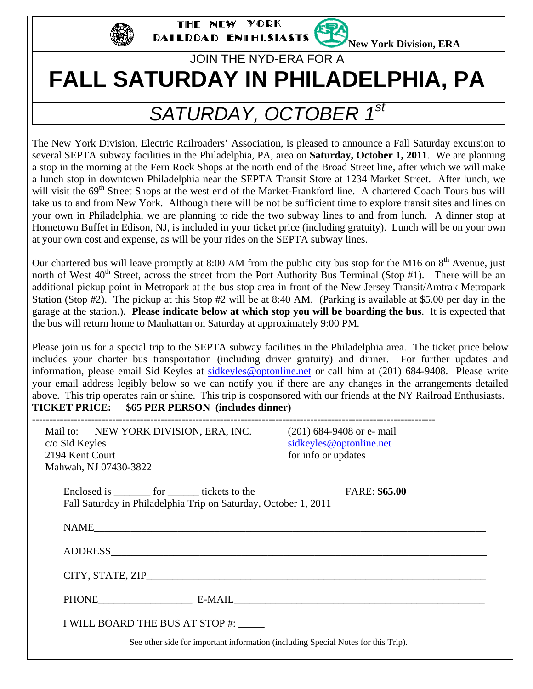

YORK THE NEW RAILROAD ENTHUSIASTS

**New York Division, ERA** 

# JOIN THE NYD-ERA FOR A **FALL SATURDAY IN PHILADELPHIA, PA**

# *SATURDAY, OCTOBER 1st*

The New York Division, Electric Railroaders' Association, is pleased to announce a Fall Saturday excursion to several SEPTA subway facilities in the Philadelphia, PA, area on **Saturday, October 1, 2011**. We are planning a stop in the morning at the Fern Rock Shops at the north end of the Broad Street line, after which we will make a lunch stop in downtown Philadelphia near the SEPTA Transit Store at 1234 Market Street. After lunch, we will visit the 69<sup>th</sup> Street Shops at the west end of the Market-Frankford line. A chartered Coach Tours bus will take us to and from New York. Although there will be not be sufficient time to explore transit sites and lines on your own in Philadelphia, we are planning to ride the two subway lines to and from lunch. A dinner stop at Hometown Buffet in Edison, NJ, is included in your ticket price (including gratuity). Lunch will be on your own at your own cost and expense, as will be your rides on the SEPTA subway lines.

Our chartered bus will leave promptly at 8:00 AM from the public city bus stop for the M16 on  $8<sup>th</sup>$  Avenue, just north of West  $40^{th}$  Street, across the street from the Port Authority Bus Terminal (Stop #1). There will be an additional pickup point in Metropark at the bus stop area in front of the New Jersey Transit/Amtrak Metropark Station (Stop #2). The pickup at this Stop #2 will be at 8:40 AM. (Parking is available at \$5.00 per day in the garage at the station.). **Please indicate below at which stop you will be boarding the bus**. It is expected that the bus will return home to Manhattan on Saturday at approximately 9:00 PM.

Please join us for a special trip to the SEPTA subway facilities in the Philadelphia area. The ticket price below includes your charter bus transportation (including driver gratuity) and dinner. For further updates and information, please email Sid Keyles at sidkeyles@optonline.net or call him at (201) 684-9408. Please write your email address legibly below so we can notify you if there are any changes in the arrangements detailed above. This trip operates rain or shine. This trip is cosponsored with our friends at the NY Railroad Enthusiasts. **TICKET PRICE: \$65 PER PERSON (includes dinner)** 

| Mail to: NEW YORK DIVISION, ERA, INC.<br>c/o Sid Keyles<br>2194 Kent Court<br>Mahwah, NJ 07430-3822                    | $(201)$ 684-9408 or e- mail<br>sidkeyles@optonline.net<br>for info or updates |
|------------------------------------------------------------------------------------------------------------------------|-------------------------------------------------------------------------------|
| Enclosed is <u>______</u> for ______ tickets to the<br>Fall Saturday in Philadelphia Trip on Saturday, October 1, 2011 | <b>FARE: \$65.00</b>                                                          |
|                                                                                                                        |                                                                               |
|                                                                                                                        |                                                                               |
|                                                                                                                        |                                                                               |
| PHONE E-MAIL E-MAIL                                                                                                    |                                                                               |
| I WILL BOARD THE BUS AT STOP #:                                                                                        |                                                                               |
| See other side for important information (including Special Notes for this Trip).                                      |                                                                               |